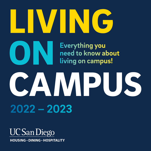## WING

**Everything you** need to know about living on campus!

# CAMPUS

**2022 – 2023**

ON

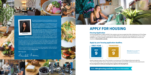On behalf of Housing, Dining and Hospitality at UC San Diego, congratulations on your acceptance to the university!

You are about to embark on an incredible journey, and your academic career will be transformative. As a firstgeneration college graduate, I truly understand the support needed for students who are transitioning to university life.

That's why we're here for you. In continued support of UC San Diego students, on-campus housing communities remain open and operational. All decisions are led by consideration of the health and safety of students, employees and local communities. With exceptional direction from our campus health experts and in alignment with government guidance, the HDH team continues to swiftly

I invite you to explore the amenities your housing and dining package includes and see how living on campus will enhance your overall UC San Diego experience. You can also learn more by visiting our website at hdh.ucsd.edu.

adapt to ever-evolving circumstances, allowing us to stay open since the pandemic began.

Your focus should be on the main reason you're at UC San Diego: to have a world-class academic experience. Our housing program includes well-designed living spaces with engaging programming. Our unique dining program has something for everyone, including the largest halal-certified residential dining facility in the nation, certified kosher menus and a wide array of vegan options.

**With Triton pride,**

Hernlote-Kaveri



## APPLY FOR HOUSING

#### Housing Application

The housing application is FREE and EASY. Only students who have accepted their Offer of Admission to UC San Diego may apply for housing. Information regarding the 2022–2023 Incoming Student Housing Application Process will be available on your Triton Checklist. Please allow 24–48 hours after accepting the Offer of Admission to access your checklist at tritonchecklist.ucsd.edu.

#### Apply by your housing application deadline.





Another important step on your Triton Checklist is to activate your UC San Diego email account under the "Your UC San Diego Email" section. Important housing information and reminders will be sent to this email account.

It is very important to check your housing status regularly in the Housing Portal.



Hemlata Jhaveri *Executive Director of Housing, Dining and Hospitality (HDH)* 

**Please note** that your application date will have no bearing on housing assignment placements.

Visit: hdhughousing.ucsd.edu for more information



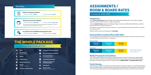## ASSIGNMENTS / ROOM & BOARD RATES

#### Estimates for 2022–2023

#### **Assignments**

Incoming first-year housing assignments begin in the residence halls and apartments in the student's college of registration, then continue into other on-campus housing areas.

Incoming transfer housing assignments will begin at Pepper Canyon East and Rita Atkinson Residences, and then continue into other on-campus housing areas.

Fluctuations in undergraduate housing, enrollments, or recommendations by public health officials may affect housing placements.

Students will find out their room assignment in late August.

If you need a medical housing accommodation, it is imperative that you apply for housing by your deadline AND contact the Office for Students with Disabilities (OSD) immediately. If you have questions about Medically Based Housing Accommodations, please contact our Housing Liaison at 858.534.8567 or housingliaison@ucsd.edu.

#### Estimated Room and Board Rates 2022-2023

Your housing contract cost includes the room you are assigned and the dining plan you choose. Check your inbox for more information about dining services—coming soon!

#### Residence Halls

| \$15,606<br>1514.468 | <b>Single Room</b> | <b>Double Room</b> |  |
|----------------------|--------------------|--------------------|--|
|----------------------|--------------------|--------------------|--|

#### Apartments

| <b>Single Room</b><br>\$16,086 | <b>Double Room</b><br>\$14,948 |  |
|--------------------------------|--------------------------------|--|
|                                |                                |  |

#### Medical Housing Accommodations

#### Family Housing

Family housing is available in our Graduate and Family Housing Communities for students in a committed relationship or who have children. Students will need to indicate need for family housing through the Housing Portal. Those who reply "yes" to the family housing question via the Housing Application process will receive an email with more information.



## THE WHOLE PACKAGE

#### Your housing package includes all of this!

#### Next Steps...

<u>iiii</u>

 $\rightarrow \bullet \bullet$ 



Apply for housing by the deadlines.

- First-year students: May 9 Transfer students: June 9
	-

#### Housing contract process\* will begin:

• First-year students: Mid-May • Transfer students: Early-June

\*Only students who meet the admissions and housing application deadlines will be able to move forward onto the Housing Contract Process.



#### Your signed contract and \$450 housing prepayment is due:

• First-year students: May 31 • Transfer students: June 24

|                              | Wi-Fi                                       |    | <b>Dining Plan with Special Events</b>                     |
|------------------------------|---------------------------------------------|----|------------------------------------------------------------|
| `න්                          | Housekeeping<br>(including toilet paper)    |    | <b>Access to a Registered Dietitian</b>                    |
| $\tilde{\tilde{\mathbf{x}}}$ | <b>Utilities</b>                            | ۳٢ | <b>Community Kitchens</b><br>(not in all neighborhoods)    |
|                              | <b>Cable Television</b>                     | ≞  | <b>Cooking Demonstrations</b>                              |
| Ó.                           | <b>Maintenance Services</b>                 | H  | <b>Residence Life Services</b><br>and Programming          |
| Ø                            | <b>Security</b><br>(including walk escorts) |    | <b>Study Spaces</b>                                        |
| $\ddot{\bullet}$             | <b>Access to Laundry Facilities</b>         | ௸  | <b>Bicycle Lockers</b><br>(available for rent: \$20/month) |
|                              |                                             |    |                                                            |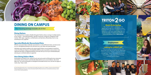UC San Diego Dining Services is committed to the health and safety of our students, faculty and staff. We are following guidelines set by local, state and national health officials and we are consistently evolving to meet current county health guidelines.



## **TRITON 2 GO**

### DINING ON CAMPUS

Your housing package includes all of this!

#### Dining Options

Your housing contract includes a flexible dining plan! Satisfy culinary cravings at multiple eateries across campus – casual dining facilities, specialty restaurants, and grocery shopping at retail markets. With vegan, vegetarian, certified kosher, and halal items offered daily, there is truly something for every appetite!

#### Specialty/Medically Necessitated Diets

Whether your special diet is medically necessitated or a cultural/lifestyle choice, you have access to an on-site Registered Dietitian who will assist you in your daily menu planning needs.

The Triton2Go mobile ordering app is the easiest way to order from HDH dining locations. Customize items, get access to secret menus, and receive alerts when your order is ready. Plus, you can join the Loyalty Program to win prizes! Learn more on the dining section of hdh.ucsd.edu.

Individuals with medical conditions who require specific dietary accommodations should first contact the Office for Students with Disabilities (OSD) as early as possible at osd.ucsd.edu. Once registered with OSD, our Registered Dietitian will meet with you to set up an individualized plan, assuring your nutritional needs are supported.

#### How Dining Dollars Work

Dining dollars are linked to your campus ID card, and can be used in all Dining Services restaurants and markets. Each purchase is automatically deducted from your account balance- like a bank debit card. The various dining plans are designed to be flexible and low cost, and will not support 3 meals a day, 7 days a week.

#### Mobile Ordering App

#### Employment

#### Looking for a GREAT job?

There are loads of job opportunities with Dining Services that are perfect for those with hectic schedules. Student employees are able to work days, nights, and weekends between 9 and 19 hours per week, at HDH Dining locations across campus.